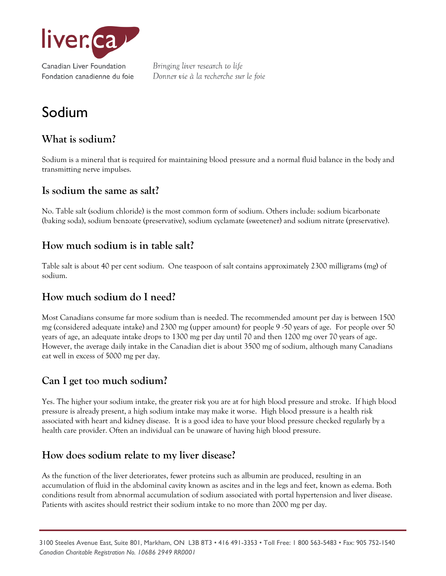

# Sodium

# **What is sodium?**

Sodium is a mineral that is required for maintaining blood pressure and a normal fluid balance in the body and transmitting nerve impulses.

#### **Is sodium the same as salt?**

No. Table salt (sodium chloride) is the most common form of sodium. Others include: sodium bicarbonate (baking soda), sodium benzoate (preservative), sodium cyclamate (sweetener) and sodium nitrate (preservative).

#### **How much sodium is in table salt?**

Table salt is about 40 per cent sodium. One teaspoon of salt contains approximately 2300 milligrams (mg) of sodium.

# **How much sodium do I need?**

Most Canadians consume far more sodium than is needed. The recommended amount per day is between 1500 mg (considered adequate intake) and 2300 mg (upper amount) for people 9 -50 years of age. For people over 50 years of age, an adequate intake drops to 1300 mg per day until 70 and then 1200 mg over 70 years of age. However, the average daily intake in the Canadian diet is about 3500 mg of sodium, although many Canadians eat well in excess of 5000 mg per day.

# **Can I get too much sodium?**

Yes. The higher your sodium intake, the greater risk you are at for high blood pressure and stroke. If high blood pressure is already present, a high sodium intake may make it worse. High blood pressure is a health risk associated with heart and kidney disease. It is a good idea to have your blood pressure checked regularly by a health care provider. Often an individual can be unaware of having high blood pressure.

# **How does sodium relate to my liver disease?**

As the function of the liver deteriorates, fewer proteins such as albumin are produced, resulting in an accumulation of fluid in the abdominal cavity known as ascites and in the legs and feet, known as edema. Both conditions result from abnormal accumulation of sodium associated with portal hypertension and liver disease. Patients with ascites should restrict their sodium intake to no more than 2000 mg per day.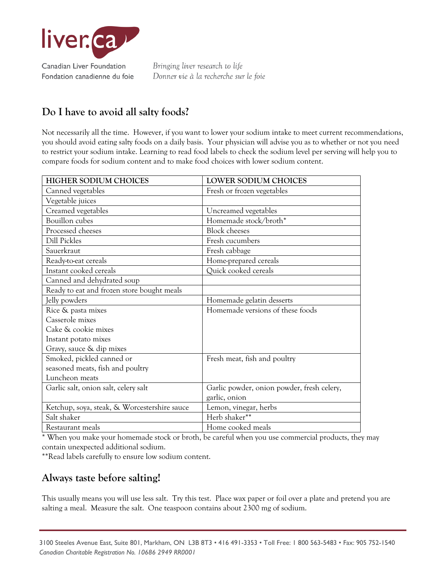

# **Do I have to avoid all salty foods?**

Not necessarily all the time. However, if you want to lower your sodium intake to meet current recommendations, you should avoid eating salty foods on a daily basis. Your physician will advise you as to whether or not you need to restrict your sodium intake. Learning to read food labels to check the sodium level per serving will help you to compare foods for sodium content and to make food choices with lower sodium content.

| <b>HIGHER SODIUM CHOICES</b>                 | LOWER SODIUM CHOICES                       |
|----------------------------------------------|--------------------------------------------|
| Canned vegetables                            | Fresh or frozen vegetables                 |
| Vegetable juices                             |                                            |
| Creamed vegetables                           | Uncreamed vegetables                       |
| Bouillon cubes                               | Homemade stock/broth*                      |
| Processed cheeses                            | <b>Block</b> cheeses                       |
| <b>Dill Pickles</b>                          | Fresh cucumbers                            |
| Sauerkraut                                   | Fresh cabbage                              |
| Ready-to-eat cereals                         | Home-prepared cereals                      |
| Instant cooked cereals                       | Quick cooked cereals                       |
| Canned and dehydrated soup                   |                                            |
| Ready to eat and frozen store bought meals   |                                            |
| Jelly powders                                | Homemade gelatin desserts                  |
| Rice & pasta mixes                           | Homemade versions of these foods           |
| Casserole mixes                              |                                            |
| Cake & cookie mixes                          |                                            |
| Instant potato mixes                         |                                            |
| Gravy, sauce & dip mixes                     |                                            |
| Smoked, pickled canned or                    | Fresh meat, fish and poultry               |
| seasoned meats, fish and poultry             |                                            |
| Luncheon meats                               |                                            |
| Garlic salt, onion salt, celery salt         | Garlic powder, onion powder, fresh celery, |
|                                              | garlic, onion                              |
| Ketchup, soya, steak, & Worcestershire sauce | Lemon, vinegar, herbs                      |
| Salt shaker                                  | Herb shaker**                              |
| Restaurant meals                             | Home cooked meals                          |

\* When you make your homemade stock or broth, be careful when you use commercial products, they may contain unexpected additional sodium.

\*\*Read labels carefully to ensure low sodium content.

# **Always taste before salting!**

This usually means you will use less salt. Try this test. Place wax paper or foil over a plate and pretend you are salting a meal. Measure the salt. One teaspoon contains about 2300 mg of sodium.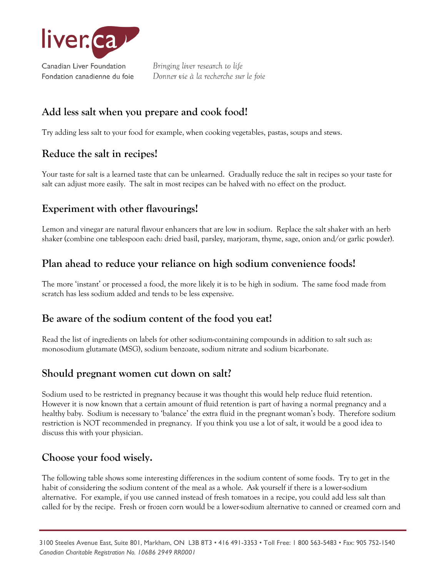

Fondation canadienne du foie

Bringing liver research to life Donner vie à la recherche sur le foie

# **Add less salt when you prepare and cook food!**

Try adding less salt to your food for example, when cooking vegetables, pastas, soups and stews.

#### **Reduce the salt in recipes!**

Your taste for salt is a learned taste that can be unlearned. Gradually reduce the salt in recipes so your taste for salt can adjust more easily. The salt in most recipes can be halved with no effect on the product.

# **Experiment with other flavourings!**

Lemon and vinegar are natural flavour enhancers that are low in sodium. Replace the salt shaker with an herb shaker (combine one tablespoon each: dried basil, parsley, marjoram, thyme, sage, onion and/or garlic powder).

# **Plan ahead to reduce your reliance on high sodium convenience foods!**

The more 'instant' or processed a food, the more likely it is to be high in sodium. The same food made from scratch has less sodium added and tends to be less expensive.

#### **Be aware of the sodium content of the food you eat!**

Read the list of ingredients on labels for other sodium-containing compounds in addition to salt such as: monosodium glutamate (MSG), sodium benzoate, sodium nitrate and sodium bicarbonate.

#### **Should pregnant women cut down on salt?**

Sodium used to be restricted in pregnancy because it was thought this would help reduce fluid retention. However it is now known that a certain amount of fluid retention is part of having a normal pregnancy and a healthy baby. Sodium is necessary to 'balance' the extra fluid in the pregnant woman's body. Therefore sodium restriction is NOT recommended in pregnancy. If you think you use a lot of salt, it would be a good idea to discuss this with your physician.

#### **Choose your food wisely.**

The following table shows some interesting differences in the sodium content of some foods. Try to get in the habit of considering the sodium content of the meal as a whole. Ask yourself if there is a lower-sodium alternative. For example, if you use canned instead of fresh tomatoes in a recipe, you could add less salt than called for by the recipe. Fresh or frozen corn would be a lower-sodium alternative to canned or creamed corn and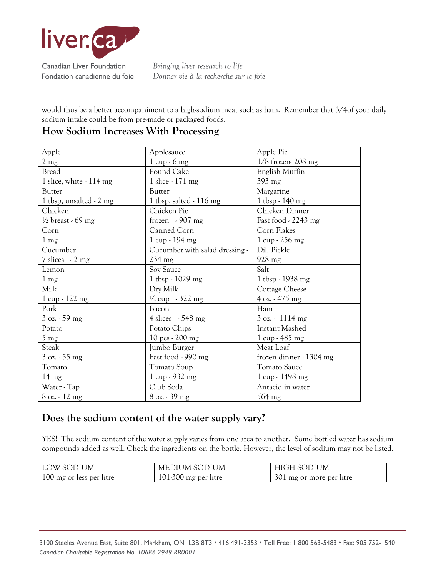

would thus be a better accompaniment to a high-sodium meat such as ham. Remember that 3/4of your daily sodium intake could be from pre-made or packaged foods.

| Apple                                | Applesauce                     | Apple Pie                        |
|--------------------------------------|--------------------------------|----------------------------------|
| $2 \text{ mg}$                       | $1 cup - 6 mg$                 | $1/8$ frozen- 208 mg             |
| <b>Bread</b>                         | Pound Cake                     | English Muffin                   |
| 1 slice, white - 114 mg              | 1 slice - 171 mg               | 393 mg                           |
| <b>Butter</b>                        | <b>Butter</b>                  | Margarine                        |
| 1 tbsp, unsalted $-2$ mg             | 1 tbsp, salted $-116$ mg       | $1$ tbsp - 140 mg                |
| Chicken                              | Chicken Pie                    | Chicken Dinner                   |
| $\frac{1}{2}$ breast - 69 mg         | frozen $-907$ mg               | Fast food - 2243 mg              |
| Corn                                 | Canned Corn                    | Corn Flakes                      |
| $1 \text{ mg}$                       | $1 cup - 194 mg$               | $1 \text{ cup} - 256 \text{ mg}$ |
| Cucumber                             | Cucumber with salad dressing - | Dill Pickle                      |
| $7 \text{ slices} \sim 2 \text{ mg}$ | $234 \text{ mg}$               | 928 mg                           |
| Lemon                                | Soy Sauce                      | Salt                             |
| $1 \text{ mg}$                       | 1 tbsp - $1029$ mg             | 1 tbsp - 1938 mg                 |
| Milk                                 | Dry Milk                       | Cottage Cheese                   |
| $1 cup - 122 mg$                     | $\frac{1}{2}$ cup - 322 mg     | $4$ oz. - 475 mg                 |
| Pork                                 | Bacon                          | Ham                              |
| $3 \text{ oz.} - 59 \text{ mg}$      | 4 slices $-548$ mg             | 3 oz. - 1114 mg                  |
| Potato                               | Potato Chips                   | Instant Mashed                   |
| $5 \text{ mg}$                       | 10 pcs - 200 mg                | $1 \text{ cup} - 485 \text{ mg}$ |
| Steak                                | Jumbo Burger                   | Meat Loaf                        |
| $3 \text{ oz.} - 55 \text{ mg}$      | Fast food - 990 mg             | frozen dinner - 1304 mg          |
| Tomato                               | Tomato Soup                    | <b>Tomato Sauce</b>              |
| $14 \text{ mg}$                      | 1 cup - 932 mg                 | 1 cup - 1498 mg                  |
| Water - Tap                          | Club Soda                      | Antacid in water                 |
| $8$ oz. $-12$ mg                     | 8 oz. - 39 mg                  | 564 mg                           |

# **How Sodium Increases With Processing**

#### **Does the sodium content of the water supply vary?**

YES! The sodium content of the water supply varies from one area to another. Some bottled water has sodium compounds added as well. Check the ingredients on the bottle. However, the level of sodium may not be listed.

| LOW SODIUM               | MEDIUM SODIUM        | <b>HIGH SODIUM</b>       |
|--------------------------|----------------------|--------------------------|
| 100 mg or less per litre | 101-300 mg per litre | 301 mg or more per litre |